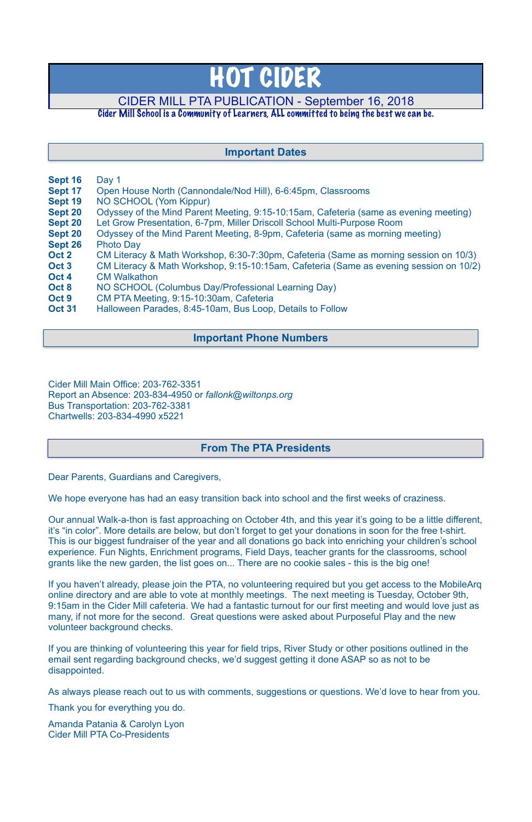- **Sept 16** Day 1
- **Sept 17** Open House North (Cannondale/Nod Hill), 6-6:45pm, Classrooms
- **Sept 19** NO SCHOOL (Yom Kippur)
- **Sept 20** Odyssey of the Mind Parent Meeting, 9:15-10:15am, Cafeteria (same as evening meeting)
- **Sept 20** Let Grow Presentation, 6-7pm, Miller Driscoll School Multi-Purpose Room
- **Sept 20** Odyssey of the Mind Parent Meeting, 8-9pm, Cafeteria (same as morning meeting)
- **Sept 26** Photo Day
- **Oct 2** CM Literacy & Math Workshop, 6:30-7:30pm, Cafeteria (Same as morning session on 10/3)
- **Oct 3** CM Literacy & Math Workshop, 9:15-10:15am, Cafeteria (Same as evening session on 10/2) **Oct 4** CM Walkathon
- **Oct 8** NO SCHOOL (Columbus Day/Professional Learning Day)
- **Oct 9** CM PTA Meeting, 9:15-10:30am, Cafeteria
- **Oct 31** Halloween Parades, 8:45-10am, Bus Loop, Details to Follow

Cider Mill Main Office: 203-762-3351 Report an Absence: 203-834-4950 or *[fallonk@wiltonps.org](mailto:fallonk@wiltonps.org)* Bus Transportation: 203-762-3381 Chartwells: 203-834-4990 x5221

Dear Parents, Guardians and Caregivers,

We hope everyone has had an easy transition back into school and the first weeks of craziness.

Our annual Walk-a-thon is fast approaching on October 4th, and this year it's going to be a little different, it's "in color". More details are below, but don't forget to get your donations in soon for the free t-shirt. This is our biggest fundraiser of the year and all donations go back into enriching your children's school experience. Fun Nights, Enrichment programs, Field Days, teacher grants for the classrooms, school grants like the new garden, the list goes on... There are no cookie sales - this is the big one!

If you haven't already, please join the PTA, no volunteering required but you get access to the MobileArq online directory and are able to vote at monthly meetings. The next meeting is Tuesday, October 9th, 9:15am in the Cider Mill cafeteria. We had a fantastic turnout for our first meeting and would love just as many, if not more for the second. Great questions were asked about Purposeful Play and the new volunteer background checks.

If you are thinking of volunteering this year for field trips, River Study or other positions outlined in the email sent regarding background checks, we'd suggest getting it done ASAP so as not to be disappointed.

As always please reach out to us with comments, suggestions or questions. We'd love to hear from you.

Thank you for everything you do.

Amanda Patania & Carolyn Lyon Cider Mill PTA Co-Presidents

# HOT CIDER

# CIDER MILL PTA PUBLICATION - September 16, 2018

### Cider Mill School is a Community of Learners, ALL committed to being the best we can be.

## **From The PTA Presidents**

## **Important Dates**

## **Important Phone Numbers**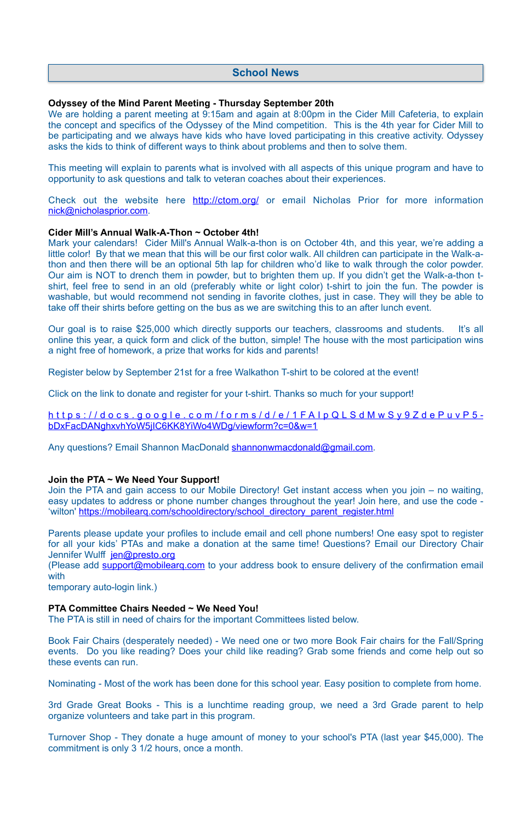#### **Odyssey of the Mind Parent Meeting - Thursday September 20th**

We are holding a parent meeting at 9:15am and again at 8:00pm in the Cider Mill Cafeteria, to explain the concept and specifics of the Odyssey of the Mind competition. This is the 4th year for Cider Mill to be participating and we always have kids who have loved participating in this creative activity. Odyssey asks the kids to think of different ways to think about problems and then to solve them.

Check out the website here <http://ctom.org/>or email Nicholas Prior for more information [nick@nicholasprior.com](mailto:nick@nicholasprior.com).

This meeting will explain to parents what is involved with all aspects of this unique program and have to opportunity to ask questions and talk to veteran coaches about their experiences.

#### **Cider Mill's Annual Walk-A-Thon ~ October 4th!**

Mark your calendars! Cider Mill's Annual Walk-a-thon is on October 4th, and this year, we're adding a little color! By that we mean that this will be our first color walk. All children can participate in the Walk-athon and then there will be an optional 5th lap for children who'd like to walk through the color powder. Our aim is NOT to drench them in powder, but to brighten them up. If you didn't get the Walk-a-thon tshirt, feel free to send in an old (preferably white or light color) t-shirt to join the fun. The powder is washable, but would recommend not sending in favorite clothes, just in case. They will they be able to take off their shirts before getting on the bus as we are switching this to an after lunch event.

Parents please update your profiles to include email and cell phone numbers! One easy spot to register for all your kids' PTAs and make a donation at the same time! Questions? Email our Directory Chair Jennifer Wulff [jen@presto.org](mailto:jen@presto.org)

Our goal is to raise \$25,000 which directly supports our teachers, classrooms and students. It's all online this year, a quick form and click of the button, simple! The house with the most participation wins a night free of homework, a prize that works for kids and parents!

Register below by September 21st for a free Walkathon T-shirt to be colored at the event!

Click on the link to donate and register for your t-shirt. Thanks so much for your support!

[https://docs.google.com/forms/d/e/1FAIpQLSdMwSy9ZdePuvP5](https://docs.google.com/forms/d/e/1FAIpQLSdMwSy9ZdePuvP5-bDxFacDANghxvhYoW5jIC6KK8YiWo4WDg/viewform?c=0&w=1) bDxFacDANghxvhYoW5jIC6KK8YiWo4WDg/viewform?c=0&w=1

Any questions? Email Shannon MacDonald [shannonwmacdonald@gmail.com.](mailto:shannonwmacdonald@gmail.com)

#### **Join the PTA ~ We Need Your Support!**

Join the PTA and gain access to our Mobile Directory! Get instant access when you join – no waiting, easy updates to address or phone number changes throughout the year! Join here, and use the code - 'wilton' [https://mobilearq.com/schooldirectory/school\\_directory\\_parent\\_register.html](https://mobilearq.com/schooldirectory/school_directory_parent_register.html)

(Please add [support@mobilearq.com](mailto:support@mobilearq.com) to your address book to ensure delivery of the confirmation email with

temporary auto-login link.)

#### **PTA Committee Chairs Needed ~ We Need You!**

The PTA is still in need of chairs for the important Committees listed below.

Book Fair Chairs (desperately needed) - We need one or two more Book Fair chairs for the Fall/Spring events. Do you like reading? Does your child like reading? Grab some friends and come help out so these events can run.

Nominating - Most of the work has been done for this school year. Easy position to complete from home.

3rd Grade Great Books - This is a lunchtime reading group, we need a 3rd Grade parent to help organize volunteers and take part in this program.

Turnover Shop - They donate a huge amount of money to your school's PTA (last year \$45,000). The commitment is only 3 1/2 hours, once a month.

## **School News**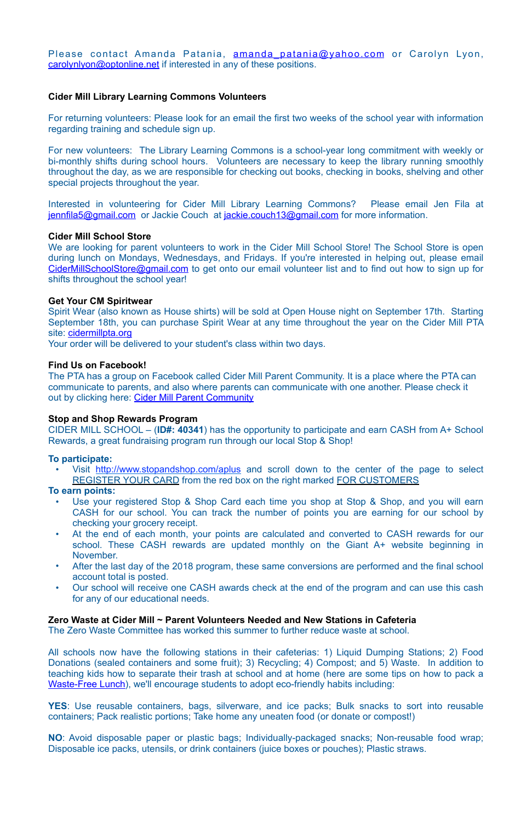Please contact Amanda Patania, amanda patania@yahoo.com or Carolyn Lyon, [carolynlyon@optonline.net](mailto:carolynlyon@optonline.net) if interested in any of these positions.

#### **Cider Mill Library Learning Commons Volunteers**

For returning volunteers: Please look for an email the first two weeks of the school year with information regarding training and schedule sign up.

Interested in volunteering for Cider Mill Library Learning Commons? Please email Jen Fila at [jennfila5@gmail.com](mailto:jennfila5@gmail.com) or Jackie Couch at [jackie.couch13@gmail.com](mailto:jackie.couch13@gmail.com) for more information.

For new volunteers: The Library Learning Commons is a school-year long commitment with weekly or bi-monthly shifts during school hours. Volunteers are necessary to keep the library running smoothly throughout the day, as we are responsible for checking out books, checking in books, shelving and other special projects throughout the year.

We are looking for parent volunteers to work in the Cider Mill School Store! The School Store is open during lunch on Mondays, Wednesdays, and Fridays. If you're interested in helping out, please email [CiderMillSchoolStore@gmail.com](mailto:CiderMillSchoolStore@gmail.com) to get onto our email volunteer list and to find out how to sign up for shifts throughout the school year!

Spirit Wear (also known as House shirts) will be sold at Open House night on September 17th. Starting September 18th, you can purchase Spirit Wear at any time throughout the year on the Cider Mill PTA site: [cidermillpta.org](http://cidermillpta.org)

The PTA has a group on Facebook called Cider Mill Parent Community. It is a place where the PTA can communicate to parents, and also where parents can communicate with one another. Please check it out by clicking here: [Cider Mill Parent Community](https://www.facebook.com/groups/1168962513117647/)

#### **Cider Mill School Store**

Visit <http://www.stopandshop.com/aplus>and scroll down to the center of the page to select REGISTER YOUR CARD from the red box on the right marked FOR CUSTOMERS

#### **Get Your CM Spiritwear**

- Use your registered Stop & Shop Card each time you shop at Stop & Shop, and you will earn CASH for our school. You can track the number of points you are earning for our school by checking your grocery receipt.
- At the end of each month, your points are calculated and converted to CASH rewards for our school. These CASH rewards are updated monthly on the Giant A+ website beginning in November.
- After the last day of the 2018 program, these same conversions are performed and the final school account total is posted.
- Our school will receive one CASH awards check at the end of the program and can use this cash for any of our educational needs.

Your order will be delivered to your student's class within two days.

#### **Find Us on Facebook!**

#### **Stop and Shop Rewards Program**

CIDER MILL SCHOOL – (**ID#: 40341**) has the opportunity to participate and earn CASH from A+ School Rewards, a great fundraising program run through our local Stop & Shop!

#### **To participate:**

#### **To earn points:**

**Zero Waste at Cider Mill ~ Parent Volunteers Needed and New Stations in Cafeteria** The Zero Waste Committee has worked this summer to further reduce waste at school.

All schools now have the following stations in their cafeterias: 1) Liquid Dumping Stations; 2) Food Donations (sealed containers and some fruit); 3) Recycling; 4) Compost; and 5) Waste. In addition to teaching kids how to separate their trash at school and at home (here are some tips on how to pack a [Waste-Free Lunch\)](https://www.epa.gov/sites/production/files/2015-09/documents/wastefreelunch_poster_508.pdf), we'll encourage students to adopt eco-friendly habits including:

**YES**: Use reusable containers, bags, silverware, and ice packs; Bulk snacks to sort into reusable containers; Pack realistic portions; Take home any uneaten food (or donate or compost!)

**NO**: Avoid disposable paper or plastic bags; Individually-packaged snacks; Non-reusable food wrap; Disposable ice packs, utensils, or drink containers (juice boxes or pouches); Plastic straws.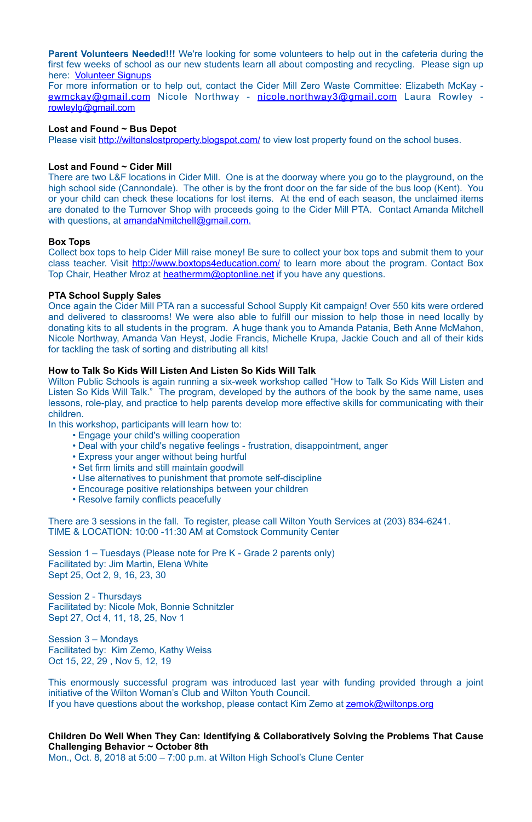**Parent Volunteers Needed!!!** We're looking for some volunteers to help out in the cafeteria during the first few weeks of school as our new students learn all about composting and recycling. Please sign up here: [Volunteer Signups](https://signup.com/login/entry/297003401915930014)

There are two L&F locations in Cider Mill. One is at the doorway where you go to the playground, on the high school side (Cannondale). The other is by the front door on the far side of the bus loop (Kent). You or your child can check these locations for lost items. At the end of each season, the unclaimed items are donated to the Turnover Shop with proceeds going to the Cider Mill PTA. Contact Amanda Mitchell with questions, at [amandaNmitchell@gmail.com](mailto:amandaNmitchell@gmail.com).

For more information or to help out, contact the Cider Mill Zero Waste Committee: Elizabeth McKay [ewmckay@gmail.com](mailto:ewmckay@gmail.com) Nicole Northway - [nicole.northway3@gmail.com](mailto:nicole.northway3@gmail.com) Laura Rowley [rowleylg@gmail.com](mailto:rowleylg@gmail.com)

#### **Lost and Found ~ Bus Depot**

Please visit <http://wiltonslostproperty.blogspot.com/>to view lost property found on the school buses.

Collect box tops to help Cider Mill raise money! Be sure to collect your box tops and submit them to your class teacher. Visit <http://www.boxtops4education.com/> to learn more about the program. Contact Box Top Chair, Heather Mroz at [heathermm@optonline.net](mailto:heathermm@optonline.net) if you have any questions.

#### **Lost and Found ~ Cider Mill**

#### **Box Tops**

#### **PTA School Supply Sales**

This enormously successful program was introduced last year with funding provided through a joint initiative of the Wilton Woman's Club and Wilton Youth Council. If you have questions about the workshop, please contact Kim Zemo at zemok@wiltonps.org

Once again the Cider Mill PTA ran a successful School Supply Kit campaign! Over 550 kits were ordered and delivered to classrooms! We were also able to fulfill our mission to help those in need locally by donating kits to all students in the program. A huge thank you to Amanda Patania, Beth Anne McMahon, Nicole Northway, Amanda Van Heyst, Jodie Francis, Michelle Krupa, Jackie Couch and all of their kids for tackling the task of sorting and distributing all kits!

#### **How to Talk So Kids Will Listen And Listen So Kids Will Talk**

Wilton Public Schools is again running a six-week workshop called "How to Talk So Kids Will Listen and Listen So Kids Will Talk." The program, developed by the authors of the book by the same name, uses lessons, role-play, and practice to help parents develop more effective skills for communicating with their children.

In this workshop, participants will learn how to:

- Engage your child's willing cooperation
- Deal with your child's negative feelings frustration, disappointment, anger
- Express your anger without being hurtful
- Set firm limits and still maintain goodwill
- Use alternatives to punishment that promote self-discipline
- Encourage positive relationships between your children
- Resolve family conflicts peacefully

There are 3 sessions in the fall. To register, please call Wilton Youth Services at (203) 834-6241. TIME & LOCATION: 10:00 -11:30 AM at Comstock Community Center

Session 1 – Tuesdays (Please note for Pre K - Grade 2 parents only) Facilitated by: Jim Martin, Elena White Sept 25, Oct 2, 9, 16, 23, 30

Session 2 - Thursdays Facilitated by: Nicole Mok, Bonnie Schnitzler Sept 27, Oct 4, 11, 18, 25, Nov 1

Session 3 – Mondays Facilitated by: Kim Zemo, Kathy Weiss Oct 15, 22, 29 , Nov 5, 12, 19

**Children Do Well When They Can: Identifying & Collaboratively Solving the Problems That Cause Challenging Behavior ~ October 8th**  Mon., Oct. 8, 2018 at 5:00 – 7:00 p.m. at Wilton High School's Clune Center